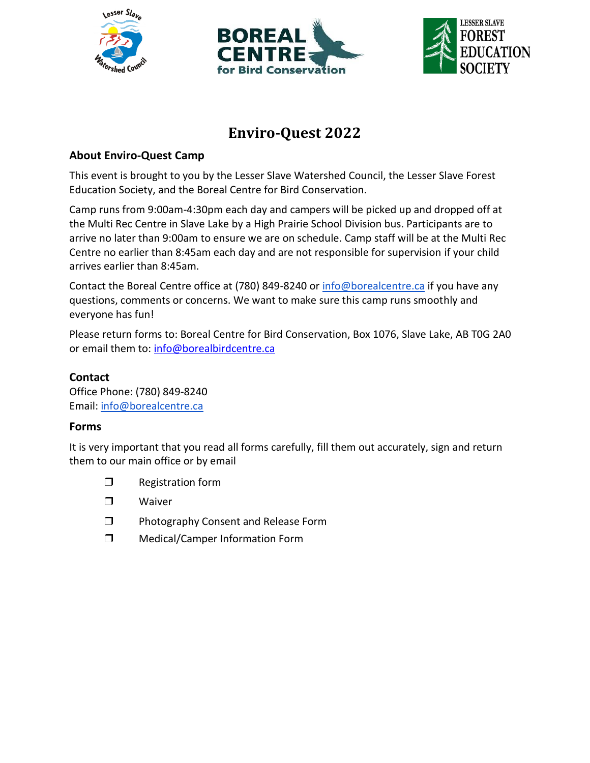





# **Enviro-Quest 2022**

# **About Enviro-Quest Camp**

This event is brought to you by the Lesser Slave Watershed Council, the Lesser Slave Forest Education Society, and the Boreal Centre for Bird Conservation.

Camp runs from 9:00am-4:30pm each day and campers will be picked up and dropped off at the Multi Rec Centre in Slave Lake by a High Prairie School Division bus. Participants are to arrive no later than 9:00am to ensure we are on schedule. Camp staff will be at the Multi Rec Centre no earlier than 8:45am each day and are not responsible for supervision if your child arrives earlier than 8:45am.

Contact the Boreal Centre office at (780) 849-8240 or [info@borealcentre.ca](mailto:info@borealcentre.ca) if you have any questions, comments or concerns. We want to make sure this camp runs smoothly and everyone has fun!

Please return forms to: Boreal Centre for Bird Conservation, Box 1076, Slave Lake, AB T0G 2A0 or email them to: [info@borealbirdcentre.ca](mailto:info@borealbirdcentre.ca)

# **Contact**

Office Phone: (780) 849-8240 Email: [info@borealcentre.ca](mailto:info@borealcentre.ca)

## **Forms**

It is very important that you read all forms carefully, fill them out accurately, sign and return them to our main office or by email

- ❒ Registration form
- ❒ Waiver
- ❒ Photography Consent and Release Form
- ❒ Medical/Camper Information Form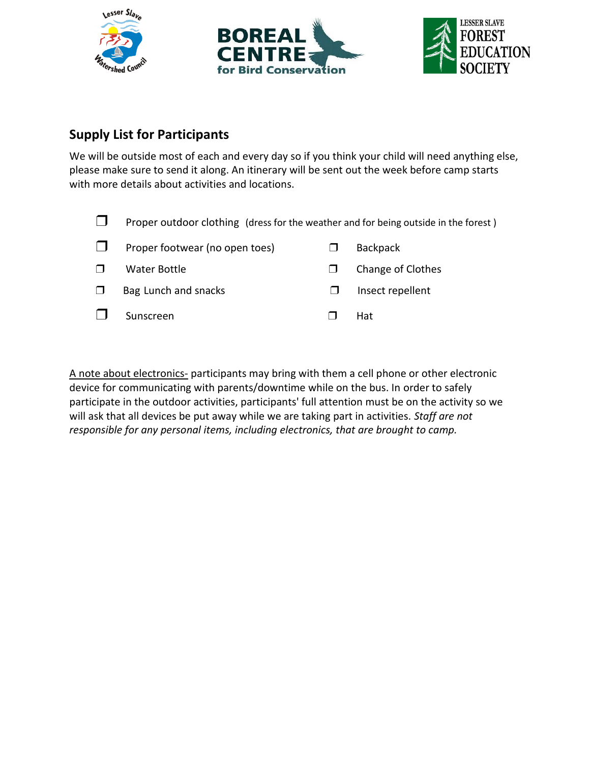





# **Supply List for Participants**

We will be outside most of each and every day so if you think your child will need anything else, please make sure to send it along. An itinerary will be sent out the week before camp starts with more details about activities and locations.



A note about electronics- participants may bring with them a cell phone or other electronic device for communicating with parents/downtime while on the bus. In order to safely participate in the outdoor activities, participants' full attention must be on the activity so we will ask that all devices be put away while we are taking part in activities. *Staff are not responsible for any personal items, including electronics, that are brought to camp.*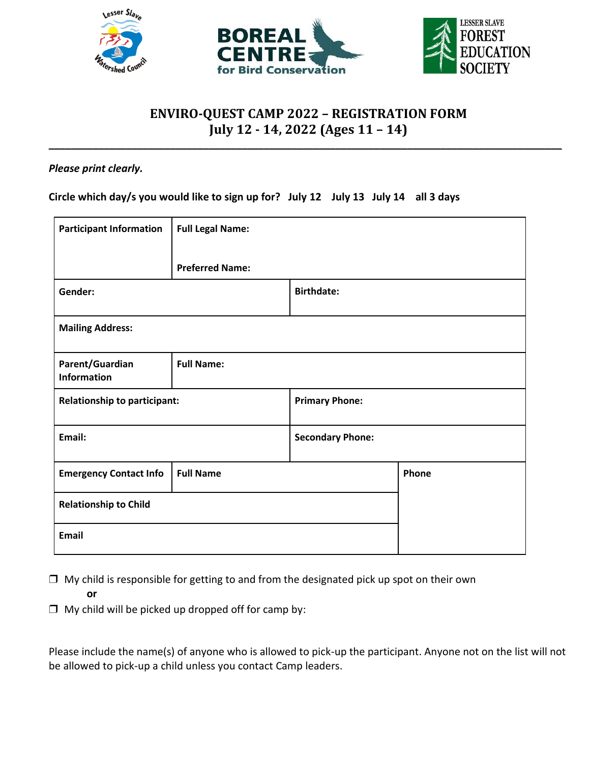





# **ENVIRO-QUEST CAMP 2022 – REGISTRATION FORM July 12 - 14, 2022 (Ages 11 – 14)**

**\_\_\_\_\_\_\_\_\_\_\_\_\_\_\_\_\_\_\_\_\_\_\_\_\_\_\_\_\_\_\_\_\_\_\_\_\_\_\_\_\_\_\_\_\_\_\_\_\_\_\_\_\_\_\_\_\_\_\_\_\_\_\_\_\_\_\_\_\_\_\_\_\_\_\_\_\_\_\_\_\_\_\_\_\_\_\_\_\_\_\_\_\_**

### *Please print clearly.*

**Circle which day/s you would like to sign up for? July 12 July 13 July 14 all 3 days**

| <b>Participant Information</b>        | <b>Full Legal Name:</b> |                         |       |
|---------------------------------------|-------------------------|-------------------------|-------|
|                                       | <b>Preferred Name:</b>  |                         |       |
| Gender:                               |                         | <b>Birthdate:</b>       |       |
| <b>Mailing Address:</b>               |                         |                         |       |
| Parent/Guardian<br><b>Information</b> | <b>Full Name:</b>       |                         |       |
| <b>Relationship to participant:</b>   |                         | <b>Primary Phone:</b>   |       |
| Email:                                |                         | <b>Secondary Phone:</b> |       |
| <b>Emergency Contact Info</b>         | <b>Full Name</b>        |                         | Phone |
| <b>Relationship to Child</b>          |                         |                         |       |
| <b>Email</b>                          |                         |                         |       |

- $\Box$  My child is responsible for getting to and from the designated pick up spot on their own **or**
- $\Box$  My child will be picked up dropped off for camp by:

Please include the name(s) of anyone who is allowed to pick-up the participant. Anyone not on the list will not be allowed to pick-up a child unless you contact Camp leaders.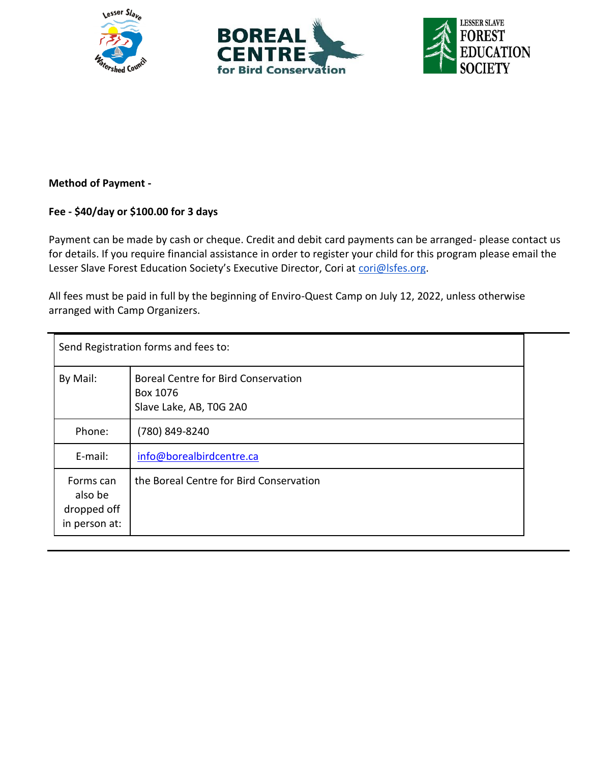





## **Method of Payment -**

## **Fee - \$40/day or \$100.00 for 3 days**

Payment can be made by cash or cheque. Credit and debit card payments can be arranged- please contact us for details. If you require financial assistance in order to register your child for this program please email the Lesser Slave Forest Education Society's Executive Director, Cori at [cori@lsfes.org.](mailto:cori@lsfes.org)

All fees must be paid in full by the beginning of Enviro-Quest Camp on July 12, 2022, unless otherwise arranged with Camp Organizers.

| Send Registration forms and fees to:                 |                                                                                   |  |
|------------------------------------------------------|-----------------------------------------------------------------------------------|--|
| By Mail:                                             | <b>Boreal Centre for Bird Conservation</b><br>Box 1076<br>Slave Lake, AB, T0G 2A0 |  |
| Phone:                                               | (780) 849-8240                                                                    |  |
| E-mail:                                              | info@borealbirdcentre.ca                                                          |  |
| Forms can<br>also be<br>dropped off<br>in person at: | the Boreal Centre for Bird Conservation                                           |  |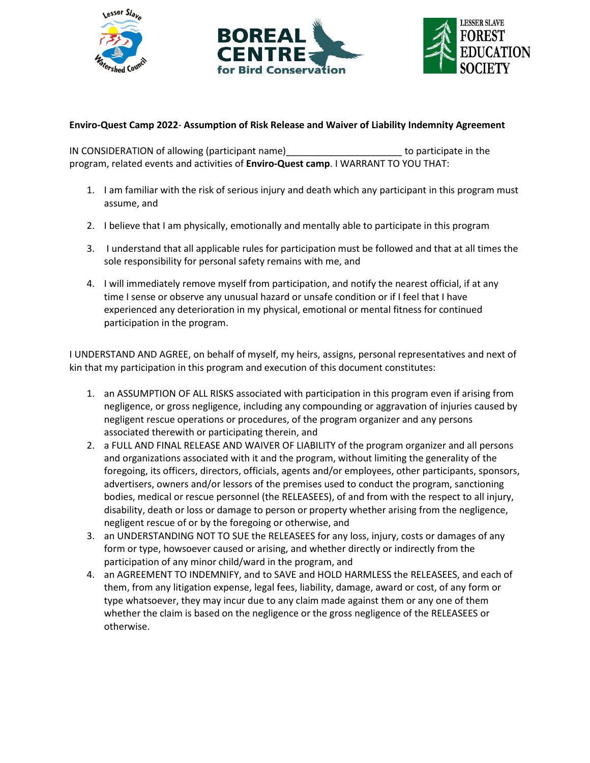





#### **Enviro-Quest Camp 2022**- **Assumption of Risk Release and Waiver of Liability Indemnity Agreement**

IN CONSIDERATION of allowing (participant name)\_\_\_\_\_\_\_\_\_\_\_\_\_\_\_\_\_\_\_\_\_\_ to participate in the program, related events and activities of **Enviro-Quest camp**. I WARRANT TO YOU THAT:

- 1. I am familiar with the risk of serious injury and death which any participant in this program must assume, and
- 2. I believe that I am physically, emotionally and mentally able to participate in this program
- 3. I understand that all applicable rules for participation must be followed and that at all times the sole responsibility for personal safety remains with me, and
- 4. I will immediately remove myself from participation, and notify the nearest official, if at any time I sense or observe any unusual hazard or unsafe condition or if I feel that I have experienced any deterioration in my physical, emotional or mental fitness for continued participation in the program.

I UNDERSTAND AND AGREE, on behalf of myself, my heirs, assigns, personal representatives and next of kin that my participation in this program and execution of this document constitutes:

- 1. an ASSUMPTION OF ALL RISKS associated with participation in this program even if arising from negligence, or gross negligence, including any compounding or aggravation of injuries caused by negligent rescue operations or procedures, of the program organizer and any persons associated therewith or participating therein, and
- 2. a FULL AND FINAL RELEASE AND WAIVER OF LIABILITY of the program organizer and all persons and organizations associated with it and the program, without limiting the generality of the foregoing, its officers, directors, officials, agents and/or employees, other participants, sponsors, advertisers, owners and/or lessors of the premises used to conduct the program, sanctioning bodies, medical or rescue personnel (the RELEASEES), of and from with the respect to all injury, disability, death or loss or damage to person or property whether arising from the negligence, negligent rescue of or by the foregoing or otherwise, and
- 3. an UNDERSTANDING NOT TO SUE the RELEASEES for any loss, injury, costs or damages of any form or type, howsoever caused or arising, and whether directly or indirectly from the participation of any minor child/ward in the program, and
- 4. an AGREEMENT TO INDEMNIFY, and to SAVE and HOLD HARMLESS the RELEASEES, and each of them, from any litigation expense, legal fees, liability, damage, award or cost, of any form or type whatsoever, they may incur due to any claim made against them or any one of them whether the claim is based on the negligence or the gross negligence of the RELEASEES or otherwise.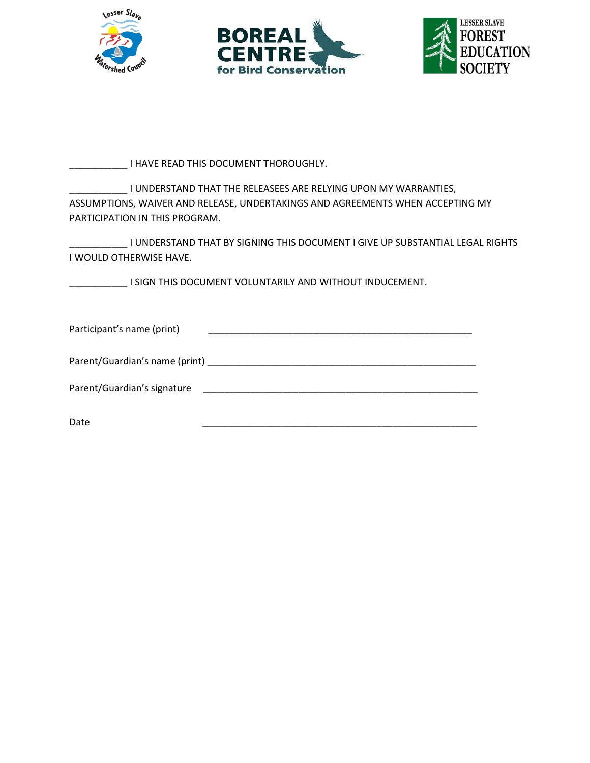





\_\_\_\_\_\_\_\_\_\_\_ I HAVE READ THIS DOCUMENT THOROUGHLY.

I UNDERSTAND THAT THE RELEASEES ARE RELYING UPON MY WARRANTIES, ASSUMPTIONS, WAIVER AND RELEASE, UNDERTAKINGS AND AGREEMENTS WHEN ACCEPTING MY PARTICIPATION IN THIS PROGRAM.

\_\_\_\_\_\_\_\_\_\_\_ I UNDERSTAND THAT BY SIGNING THIS DOCUMENT I GIVE UP SUBSTANTIAL LEGAL RIGHTS I WOULD OTHERWISE HAVE.

\_\_\_\_\_\_\_\_\_\_\_ I SIGN THIS DOCUMENT VOLUNTARILY AND WITHOUT INDUCEMENT.

| Participant's name (print)     |  |
|--------------------------------|--|
| Parent/Guardian's name (print) |  |
| Parent/Guardian's signature    |  |
| Date                           |  |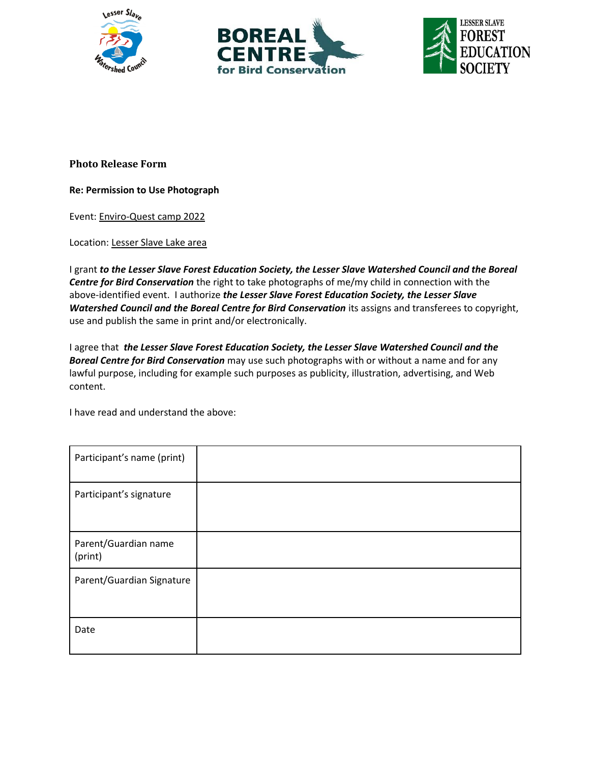





#### **Photo Release Form**

#### **Re: Permission to Use Photograph**

Event: Enviro-Quest camp 2022

Location: Lesser Slave Lake area

I grant *to the Lesser Slave Forest Education Society, the Lesser Slave Watershed Council and the Boreal Centre for Bird Conservation* the right to take photographs of me/my child in connection with the above-identified event. I authorize *the Lesser Slave Forest Education Society, the Lesser Slave Watershed Council and the Boreal Centre for Bird Conservation* its assigns and transferees to copyright, use and publish the same in print and/or electronically.

I agree that *the Lesser Slave Forest Education Society, the Lesser Slave Watershed Council and the Boreal Centre for Bird Conservation* may use such photographs with or without a name and for any lawful purpose, including for example such purposes as publicity, illustration, advertising, and Web content.

I have read and understand the above:

| Participant's name (print)      |  |
|---------------------------------|--|
| Participant's signature         |  |
| Parent/Guardian name<br>(print) |  |
| Parent/Guardian Signature       |  |
| Date                            |  |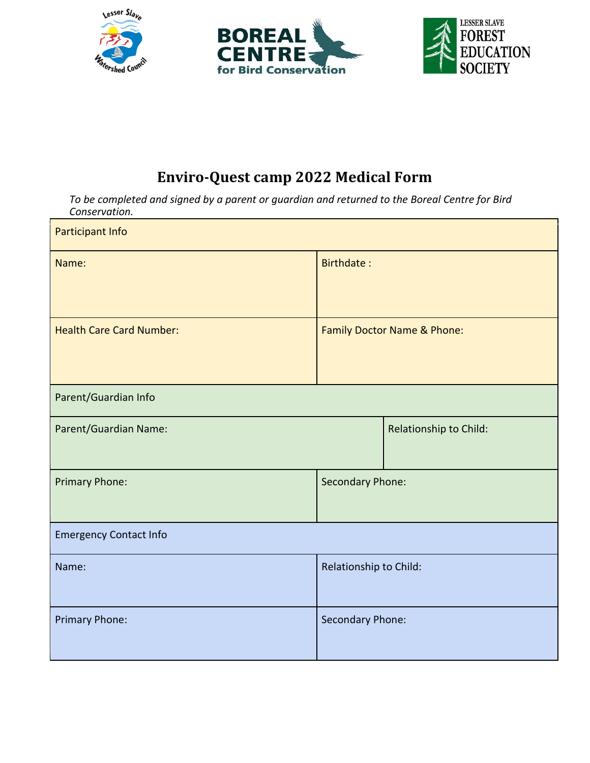





# **Enviro-Quest camp 2022 Medical Form**

*To be completed and signed by a parent or guardian and returned to the Boreal Centre for Bird Conservation.*

| Participant Info                |                             |                        |
|---------------------------------|-----------------------------|------------------------|
| Name:                           | <b>Birthdate:</b>           |                        |
| <b>Health Care Card Number:</b> | Family Doctor Name & Phone: |                        |
| Parent/Guardian Info            |                             |                        |
| Parent/Guardian Name:           |                             | Relationship to Child: |
| <b>Primary Phone:</b>           | Secondary Phone:            |                        |
| <b>Emergency Contact Info</b>   |                             |                        |
| Name:                           | Relationship to Child:      |                        |
| Primary Phone:                  | Secondary Phone:            |                        |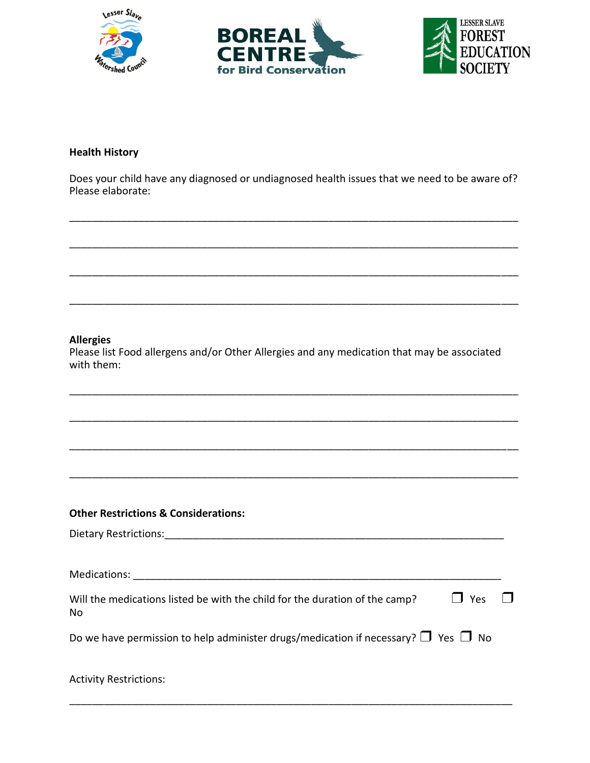





#### **Health History**

Does your child have any diagnosed or undiagnosed health issues that we need to be aware of? Please elaborate:

\_\_\_\_\_\_\_\_\_\_\_\_\_\_\_\_\_\_\_\_\_\_\_\_\_\_\_\_\_\_\_\_\_\_\_\_\_\_\_\_\_\_\_\_\_\_\_\_\_\_\_\_\_\_\_\_\_\_\_\_\_\_\_\_\_\_\_\_\_\_\_\_\_\_\_\_\_\_

\_\_\_\_\_\_\_\_\_\_\_\_\_\_\_\_\_\_\_\_\_\_\_\_\_\_\_\_\_\_\_\_\_\_\_\_\_\_\_\_\_\_\_\_\_\_\_\_\_\_\_\_\_\_\_\_\_\_\_\_\_\_\_\_\_\_\_\_\_\_\_\_\_\_\_\_\_\_

\_\_\_\_\_\_\_\_\_\_\_\_\_\_\_\_\_\_\_\_\_\_\_\_\_\_\_\_\_\_\_\_\_\_\_\_\_\_\_\_\_\_\_\_\_\_\_\_\_\_\_\_\_\_\_\_\_\_\_\_\_\_\_\_\_\_\_\_\_\_\_\_\_\_\_\_\_\_

\_\_\_\_\_\_\_\_\_\_\_\_\_\_\_\_\_\_\_\_\_\_\_\_\_\_\_\_\_\_\_\_\_\_\_\_\_\_\_\_\_\_\_\_\_\_\_\_\_\_\_\_\_\_\_\_\_\_\_\_\_\_\_\_\_\_\_\_\_\_\_\_\_\_\_\_\_\_

#### **Allergies**

Please list Food allergens and/or Other Allergies and any medication that may be associated with them:

\_\_\_\_\_\_\_\_\_\_\_\_\_\_\_\_\_\_\_\_\_\_\_\_\_\_\_\_\_\_\_\_\_\_\_\_\_\_\_\_\_\_\_\_\_\_\_\_\_\_\_\_\_\_\_\_\_\_\_\_\_\_\_\_\_\_\_\_\_\_\_\_\_\_\_\_\_\_

\_\_\_\_\_\_\_\_\_\_\_\_\_\_\_\_\_\_\_\_\_\_\_\_\_\_\_\_\_\_\_\_\_\_\_\_\_\_\_\_\_\_\_\_\_\_\_\_\_\_\_\_\_\_\_\_\_\_\_\_\_\_\_\_\_\_\_\_\_\_\_\_\_\_\_\_\_\_

\_\_\_\_\_\_\_\_\_\_\_\_\_\_\_\_\_\_\_\_\_\_\_\_\_\_\_\_\_\_\_\_\_\_\_\_\_\_\_\_\_\_\_\_\_\_\_\_\_\_\_\_\_\_\_\_\_\_\_\_\_\_\_\_\_\_\_\_\_\_\_\_\_\_\_\_\_\_

\_\_\_\_\_\_\_\_\_\_\_\_\_\_\_\_\_\_\_\_\_\_\_\_\_\_\_\_\_\_\_\_\_\_\_\_\_\_\_\_\_\_\_\_\_\_\_\_\_\_\_\_\_\_\_\_\_\_\_\_\_\_\_\_\_\_\_\_\_\_\_\_\_\_\_\_\_\_

#### **Other Restrictions & Considerations:**

Dietary Restrictions:\_\_\_\_\_\_\_\_\_\_\_\_\_\_\_\_\_\_\_\_\_\_\_\_\_\_\_\_\_\_\_\_\_\_\_\_\_\_\_\_\_\_\_\_\_\_\_\_\_\_\_\_\_\_\_\_\_\_\_

Medications: \_\_\_\_\_\_\_\_\_\_\_\_\_\_\_\_\_\_\_\_\_\_\_\_\_\_\_\_\_\_\_\_\_\_\_\_\_\_\_\_\_\_\_\_\_\_\_\_\_\_\_\_\_\_\_\_\_\_\_\_\_\_\_\_

| Will the medications listed be with the child for the duration of the camp? | $\Box$ Yes $\Box$ |  |
|-----------------------------------------------------------------------------|-------------------|--|
| No                                                                          |                   |  |

Do we have permission to help administer drugs/medication if necessary?  $\Box$  Yes  $\Box$  No

| <b>Activity Restrictions:</b> |  |  |  |
|-------------------------------|--|--|--|
|                               |  |  |  |